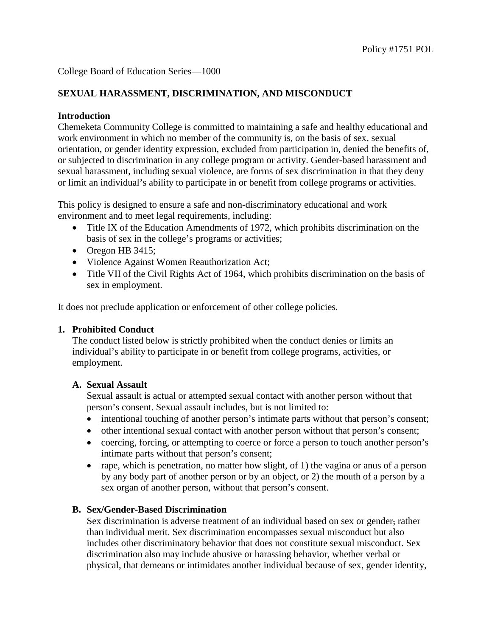# **SEXUAL HARASSMENT, DISCRIMINATION, AND MISCONDUCT**

### **Introduction**

Chemeketa Community College is committed to maintaining a safe and healthy educational and work environment in which no member of the community is, on the basis of sex, sexual orientation, or gender identity expression, excluded from participation in, denied the benefits of, or subjected to discrimination in any college program or activity. Gender-based harassment and sexual harassment, including sexual violence, are forms of sex discrimination in that they deny or limit an individual's ability to participate in or benefit from college programs or activities.

This policy is designed to ensure a safe and non-discriminatory educational and work environment and to meet legal requirements, including:

- Title IX of the Education Amendments of 1972, which prohibits discrimination on the basis of sex in the college's programs or activities;
- Oregon HB 3415;
- Violence Against Women Reauthorization Act;
- Title VII of the Civil Rights Act of 1964, which prohibits discrimination on the basis of sex in employment.

It does not preclude application or enforcement of other college policies.

#### **1. Prohibited Conduct**

The conduct listed below is strictly prohibited when the conduct denies or limits an individual's ability to participate in or benefit from college programs, activities, or employment.

#### **A. Sexual Assault**

Sexual assault is actual or attempted sexual contact with another person without that person's consent. Sexual assault includes, but is not limited to:

- intentional touching of another person's intimate parts without that person's consent;
- other intentional sexual contact with another person without that person's consent;
- coercing, forcing, or attempting to coerce or force a person to touch another person's intimate parts without that person's consent;
- rape, which is penetration, no matter how slight, of 1) the vagina or anus of a person by any body part of another person or by an object, or 2) the mouth of a person by a sex organ of another person, without that person's consent.

# **B. Sex/Gender-Based Discrimination**

Sex discrimination is adverse treatment of an individual based on sex or gender, rather than individual merit. Sex discrimination encompasses sexual misconduct but also includes other discriminatory behavior that does not constitute sexual misconduct. Sex discrimination also may include abusive or harassing behavior, whether verbal or physical, that demeans or intimidates another individual because of sex, gender identity,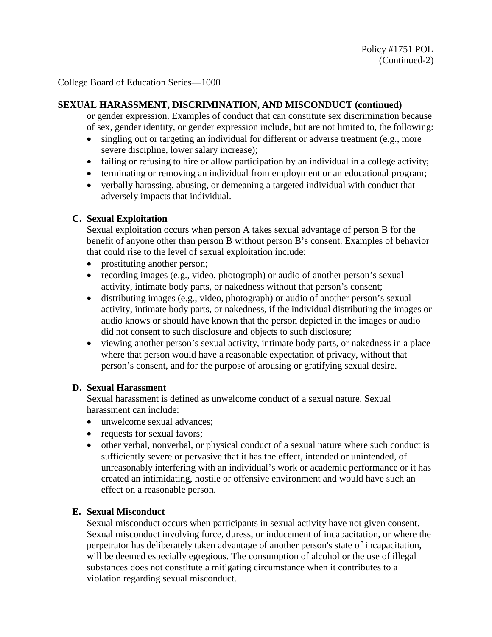### **SEXUAL HARASSMENT, DISCRIMINATION, AND MISCONDUCT (continued)**

or gender expression. Examples of conduct that can constitute sex discrimination because of sex, gender identity, or gender expression include, but are not limited to, the following:

- singling out or targeting an individual for different or adverse treatment (e.g., more severe discipline, lower salary increase);
- failing or refusing to hire or allow participation by an individual in a college activity;
- terminating or removing an individual from employment or an educational program;
- verbally harassing, abusing, or demeaning a targeted individual with conduct that adversely impacts that individual.

## **C. Sexual Exploitation**

Sexual exploitation occurs when person A takes sexual advantage of person B for the benefit of anyone other than person B without person B's consent. Examples of behavior that could rise to the level of sexual exploitation include:

- prostituting another person;
- recording images (e.g., video, photograph) or audio of another person's sexual activity, intimate body parts, or nakedness without that person's consent;
- distributing images (e.g., video, photograph) or audio of another person's sexual activity, intimate body parts, or nakedness, if the individual distributing the images or audio knows or should have known that the person depicted in the images or audio did not consent to such disclosure and objects to such disclosure;
- viewing another person's sexual activity, intimate body parts, or nakedness in a place where that person would have a reasonable expectation of privacy, without that person's consent, and for the purpose of arousing or gratifying sexual desire.

#### **D. Sexual Harassment**

Sexual harassment is defined as unwelcome conduct of a sexual nature. Sexual harassment can include:

- unwelcome sexual advances:
- requests for sexual favors;
- other verbal, nonverbal, or physical conduct of a sexual nature where such conduct is sufficiently severe or pervasive that it has the effect, intended or unintended, of unreasonably interfering with an individual's work or academic performance or it has created an intimidating, hostile or offensive environment and would have such an effect on a reasonable person.

# **E. Sexual Misconduct**

Sexual misconduct occurs when participants in sexual activity have not given consent. Sexual misconduct involving force, duress, or inducement of incapacitation, or where the perpetrator has deliberately taken advantage of another person's state of incapacitation, will be deemed especially egregious. The consumption of alcohol or the use of illegal substances does not constitute a mitigating circumstance when it contributes to a violation regarding sexual misconduct.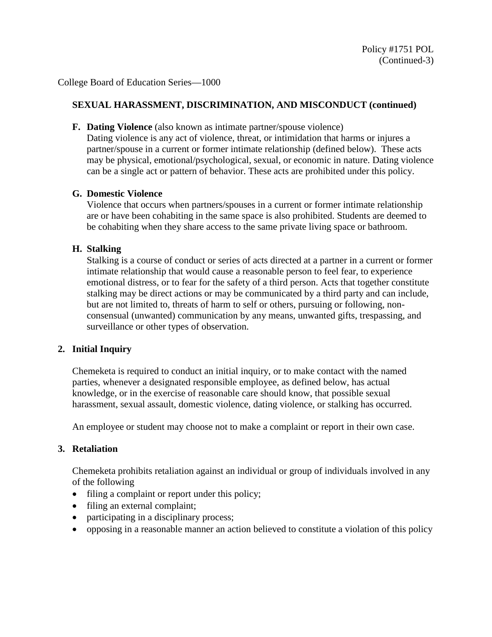## **SEXUAL HARASSMENT, DISCRIMINATION, AND MISCONDUCT (continued)**

**F. Dating Violence** (also known as intimate partner/spouse violence)

Dating violence is any act of violence, threat, or intimidation that harms or injures a partner/spouse in a current or former intimate relationship (defined below). These acts may be physical, emotional/psychological, sexual, or economic in nature. Dating violence can be a single act or pattern of behavior. These acts are prohibited under this policy.

#### **G. Domestic Violence**

Violence that occurs when partners/spouses in a current or former intimate relationship are or have been cohabiting in the same space is also prohibited. Students are deemed to be cohabiting when they share access to the same private living space or bathroom.

## **H. Stalking**

Stalking is a course of conduct or series of acts directed at a partner in a current or former intimate relationship that would cause a reasonable person to feel fear, to experience emotional distress, or to fear for the safety of a third person. Acts that together constitute stalking may be direct actions or may be communicated by a third party and can include, but are not limited to, threats of harm to self or others, pursuing or following, nonconsensual (unwanted) communication by any means, unwanted gifts, trespassing, and surveillance or other types of observation.

# **2. Initial Inquiry**

Chemeketa is required to conduct an initial inquiry, or to make contact with the named parties, whenever a designated responsible employee, as defined below, has actual knowledge, or in the exercise of reasonable care should know, that possible sexual harassment, sexual assault, domestic violence, dating violence, or stalking has occurred.

An employee or student may choose not to make a complaint or report in their own case.

### **3. Retaliation**

Chemeketa prohibits retaliation against an individual or group of individuals involved in any of the following

- filing a complaint or report under this policy;
- filing an external complaint;
- participating in a disciplinary process;
- opposing in a reasonable manner an action believed to constitute a violation of this policy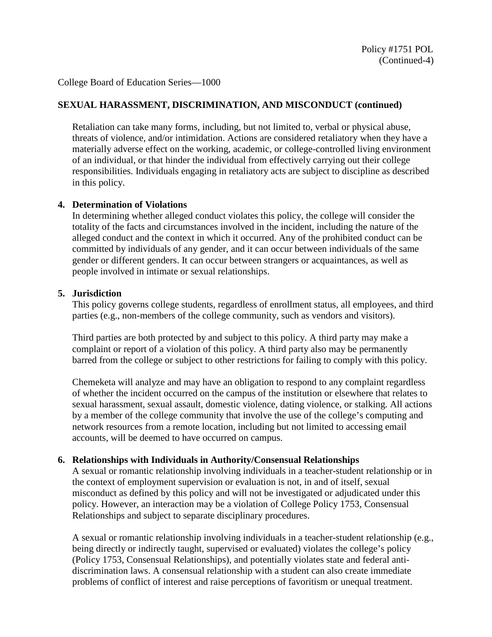## **SEXUAL HARASSMENT, DISCRIMINATION, AND MISCONDUCT (continued)**

Retaliation can take many forms, including, but not limited to, verbal or physical abuse, threats of violence, and/or intimidation. Actions are considered retaliatory when they have a materially adverse effect on the working, academic, or college-controlled living environment of an individual, or that hinder the individual from effectively carrying out their college responsibilities. Individuals engaging in retaliatory acts are subject to discipline as described in this policy.

#### **4. Determination of Violations**

In determining whether alleged conduct violates this policy, the college will consider the totality of the facts and circumstances involved in the incident, including the nature of the alleged conduct and the context in which it occurred. Any of the prohibited conduct can be committed by individuals of any gender, and it can occur between individuals of the same gender or different genders. It can occur between strangers or acquaintances, as well as people involved in intimate or sexual relationships.

### **5. Jurisdiction**

This policy governs college students, regardless of enrollment status, all employees, and third parties (e.g., non-members of the college community, such as vendors and visitors).

Third parties are both protected by and subject to this policy. A third party may make a complaint or report of a violation of this policy. A third party also may be permanently barred from the college or subject to other restrictions for failing to comply with this policy.

Chemeketa will analyze and may have an obligation to respond to any complaint regardless of whether the incident occurred on the campus of the institution or elsewhere that relates to sexual harassment, sexual assault, domestic violence, dating violence, or stalking. All actions by a member of the college community that involve the use of the college's computing and network resources from a remote location, including but not limited to accessing email accounts, will be deemed to have occurred on campus.

#### **6. Relationships with Individuals in Authority/Consensual Relationships**

A sexual or romantic relationship involving individuals in a teacher-student relationship or in the context of employment supervision or evaluation is not, in and of itself, sexual misconduct as defined by this policy and will not be investigated or adjudicated under this policy. However, an interaction may be a violation of College Policy 1753, Consensual Relationships and subject to separate disciplinary procedures.

A sexual or romantic relationship involving individuals in a teacher-student relationship (e.g., being directly or indirectly taught, supervised or evaluated) violates the college's policy (Policy 1753, Consensual Relationships), and potentially violates state and federal antidiscrimination laws. A consensual relationship with a student can also create immediate problems of conflict of interest and raise perceptions of favoritism or unequal treatment.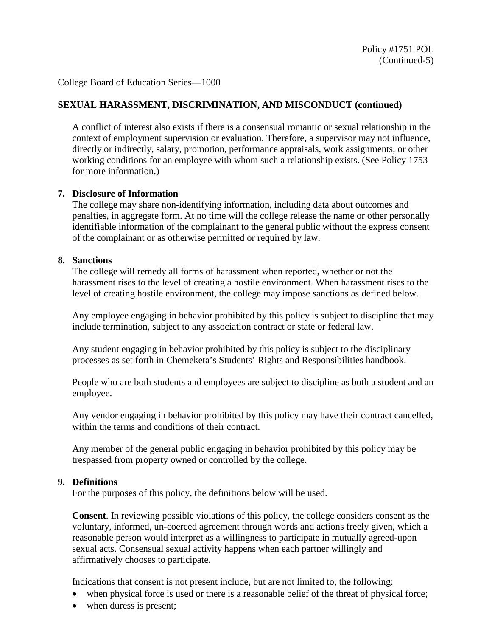# **SEXUAL HARASSMENT, DISCRIMINATION, AND MISCONDUCT (continued)**

A conflict of interest also exists if there is a consensual romantic or sexual relationship in the context of employment supervision or evaluation. Therefore, a supervisor may not influence, directly or indirectly, salary, promotion, performance appraisals, work assignments, or other working conditions for an employee with whom such a relationship exists. (See Policy 1753 for more information.)

#### **7. Disclosure of Information**

The college may share non-identifying information, including data about outcomes and penalties, in aggregate form. At no time will the college release the name or other personally identifiable information of the complainant to the general public without the express consent of the complainant or as otherwise permitted or required by law.

## **8. Sanctions**

The college will remedy all forms of harassment when reported, whether or not the harassment rises to the level of creating a hostile environment. When harassment rises to the level of creating hostile environment, the college may impose sanctions as defined below.

Any employee engaging in behavior prohibited by this policy is subject to discipline that may include termination, subject to any association contract or state or federal law.

Any student engaging in behavior prohibited by this policy is subject to the disciplinary processes as set forth in Chemeketa's Students' Rights and Responsibilities handbook.

People who are both students and employees are subject to discipline as both a student and an employee.

Any vendor engaging in behavior prohibited by this policy may have their contract cancelled, within the terms and conditions of their contract.

Any member of the general public engaging in behavior prohibited by this policy may be trespassed from property owned or controlled by the college.

#### **9. Definitions**

For the purposes of this policy, the definitions below will be used.

**Consent**. In reviewing possible violations of this policy, the college considers consent as the voluntary, informed, un-coerced agreement through words and actions freely given, which a reasonable person would interpret as a willingness to participate in mutually agreed-upon sexual acts. Consensual sexual activity happens when each partner willingly and affirmatively chooses to participate.

Indications that consent is not present include, but are not limited to, the following:

- when physical force is used or there is a reasonable belief of the threat of physical force;
- when duress is present;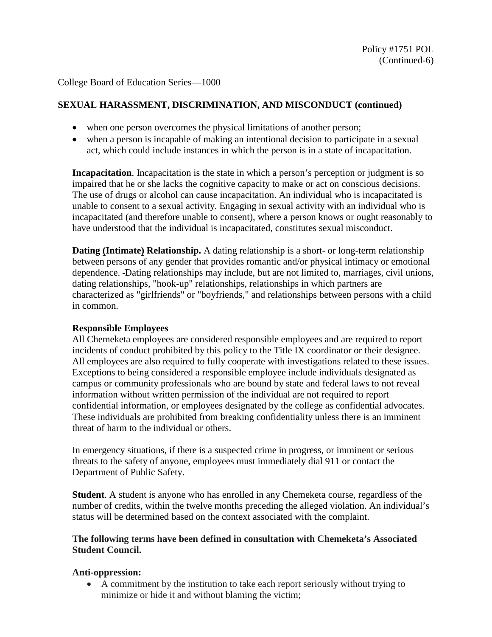# **SEXUAL HARASSMENT, DISCRIMINATION, AND MISCONDUCT (continued)**

- when one person overcomes the physical limitations of another person;
- when a person is incapable of making an intentional decision to participate in a sexual act, which could include instances in which the person is in a state of incapacitation.

**Incapacitation**. Incapacitation is the state in which a person's perception or judgment is so impaired that he or she lacks the cognitive capacity to make or act on conscious decisions. The use of drugs or alcohol can cause incapacitation. An individual who is incapacitated is unable to consent to a sexual activity. Engaging in sexual activity with an individual who is incapacitated (and therefore unable to consent), where a person knows or ought reasonably to have understood that the individual is incapacitated, constitutes sexual misconduct.

**Dating (Intimate) Relationship.** A dating relationship is a short- or long-term relationship between persons of any gender that provides romantic and/or physical intimacy or emotional dependence. Dating relationships may include, but are not limited to, marriages, civil unions, dating relationships, "hook-up" relationships, relationships in which partners are characterized as "girlfriends" or "boyfriends," and relationships between persons with a child in common.

# **Responsible Employees**

All Chemeketa employees are considered responsible employees and are required to report incidents of conduct prohibited by this policy to the Title IX coordinator or their designee. All employees are also required to fully cooperate with investigations related to these issues. Exceptions to being considered a responsible employee include individuals designated as campus or community professionals who are bound by state and federal laws to not reveal information without written permission of the individual are not required to report confidential information, or employees designated by the college as confidential advocates. These individuals are prohibited from breaking confidentiality unless there is an imminent threat of harm to the individual or others.

In emergency situations, if there is a suspected crime in progress, or imminent or serious threats to the safety of anyone, employees must immediately dial 911 or contact the Department of Public Safety.

**Student**. A student is anyone who has enrolled in any Chemeketa course, regardless of the number of credits, within the twelve months preceding the alleged violation. An individual's status will be determined based on the context associated with the complaint.

## **The following terms have been defined in consultation with Chemeketa's Associated Student Council.**

# **Anti-oppression:**

• A commitment by the institution to take each report seriously without trying to minimize or hide it and without blaming the victim;